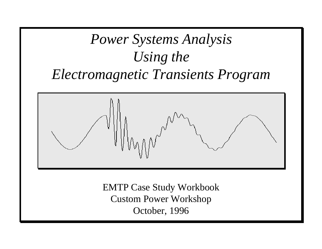# *Power Systems Analysis Using the Electromagnetic Transients Program*



EMTP Case Study Workbook Custom Power Workshop October, 1996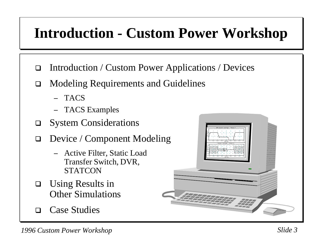# **Introduction - Custom Power Workshop**

- $\Box$ Introduction / Custom Power Applications / Devices
- $\Box$  Modeling Requirements and Guidelines
	- −TACS
	- TACS Examples
- $\Box$ System Considerations
- $\Box$  Device / Component Modeling
	- Active Filter, Static Load Transfer Switch, DVR, **STATCON**
- $\Box$  Using Results in Other Simulations
- $\Box$ Case Studies

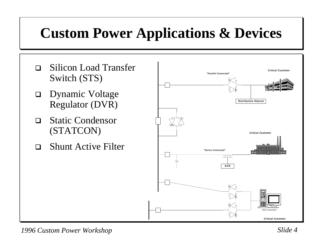# **Custom Power Applications & Devices**

- $\Box$  Silicon Load Transfer Switch (STS)
- □ Dynamic Voltage Regulator (DVR)
- $\Box$  Static Condensor (STATCON)
- $\Box$ Shunt Active Filter

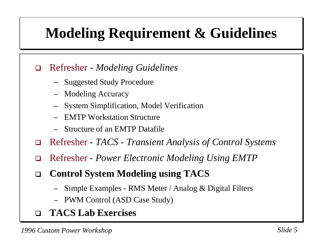# **Modeling Requirement & Guidelines**

#### $\Box$ Refresher *- Modeling Guidelines*

- −Suggested Study Procedure
- Modeling Accuracy
- −System Simplification, Model Verification
- −EMTP Workstation Structure
- −Structure of an EMTP Datafile
- $\Box$ Refresher - *TACS - Transient Analysis of Control Systems*
- $\Box$ Refresher *- Power Electronic Modeling Using EMTP*
- $\Box$  **Control System Modeling using TACS**
	- −Simple Examples - RMS Meter / Analog & Digital Filters
	- PWM Control (ASD Case Study)
- $\Box$ **TACS Lab Exercises**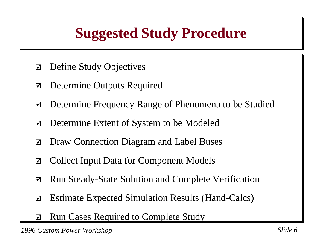# **Suggested Study Procedure**

- $\overline{\mathsf{M}}$ Define Study Objectives
- $\blacktriangledown$ Determine Outputs Required
- $\overline{\mathsf{M}}$ Determine Frequency Range of Phenomena to be Studied
- $\overline{\mathsf{M}}$ Determine Extent of System to be Modeled
- $\overline{\mathsf{M}}$ Draw Connection Diagram and Label Buses
- $\Delta$ Collect Input Data for Component Models
- $\overline{\mathsf{M}}$ Run Steady-State Solution and Complete Verification
- $\Delta$ Estimate Expected Simulation Results (Hand-Calcs)
- $\overline{\mathsf{M}}$ Run Cases Required to Complete Study

*1996 Custom Power Workshop Slide 6*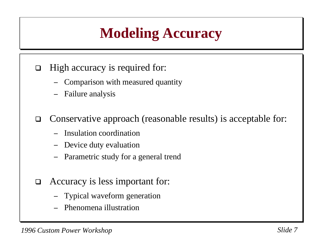# **Modeling Accuracy**

- $\Box$  High accuracy is required for:
	- −Comparison with measured quantity
	- Failure analysis

 $\Box$ Conservative approach (reasonable results) is acceptable for:

- −Insulation coordination
- −Device duty evaluation
- −Parametric study for a general trend
- $\Box$  Accuracy is less important for:
	- −Typical waveform generation
	- −Phenomena illustration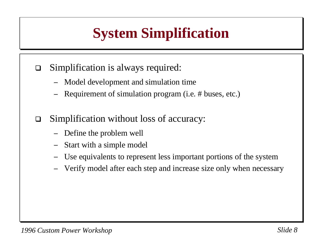# **System Simplification**

- $\Box$  Simplification is always required:
	- −Model development and simulation time
	- Requirement of simulation program (i.e. # buses, etc.)
- $\Box$  Simplification without loss of accuracy:
	- −Define the problem well
	- −Start with a simple model
	- −Use equivalents to represent less important portions of the system
	- −Verify model after each step and increase size only when necessary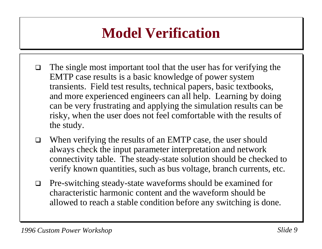# **Model Verification**

- $\Box$  The single most important tool that the user has for verifying the EMTP case results is a basic knowledge of power system transients. Field test results, technical papers, basic textbooks, and more experienced engineers can all help. Learning by doing can be very frustrating and applying the simulation results can be risky, when the user does not feel comfortable with the results of the study.
- $\Box$  When verifying the results of an EMTP case, the user should always check the input parameter interpretation and network connectivity table. The steady-state solution should be checked to verify known quantities, such as bus voltage, branch currents, etc.
- $\Box$  Pre-switching steady-state waveforms should be examined for characteristic harmonic content and the waveform should beallowed to reach a stable condition before any switching is done.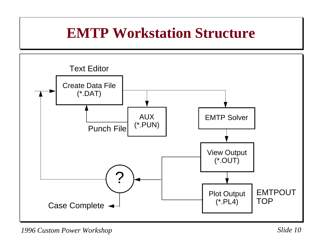#### **EMTP Workstation Structure**



*1996 Custom Power Workshop Slide 10*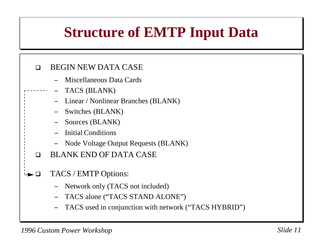# **Structure of EMTP Input Data**

#### $\Box$ BEGIN NEW DATA CASE

- −Miscellaneous Data Cards
- − TACS (BLANK)
	- − Linear / Nonlinear Branches (BLANK)
	- −Switches (BLANK)
	- −Sources (BLANK)
	- − Initial Conditions
	- −Node Voltage Output Requests (BLANK)
- $\Box$ BLANK END OF DATA CASE
- $\Box$  TACS / EMTP Options:
	- −Network only (TACS not included)
	- −TACS alone ("TACS STAND ALONE")
	- −TACS used in conjunction with network ("TACS HYBRID")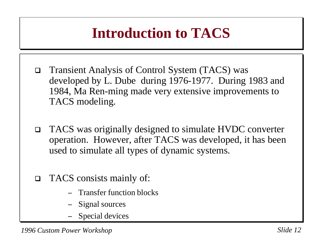# **Introduction to TACS**

- $\Box$  Transient Analysis of Control System (TACS) was developed by L. Dube during 1976-1977. During 1983 and 1984, Ma Ren-ming made very extensive improvements to TACS modeling.
- $\Box$  TACS was originally designed to simulate HVDC converter operation. However, after TACS was developed, it has been used to simulate all types of dynamic systems.
- $\Box$  TACS consists mainly of:
	- Transfer function blocks
	- Signal sources
	- Special devices

*1996 Custom Power Workshop Slide 12*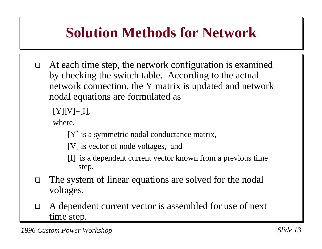# **Solution Methods for Network**

 $\Box$  At each time step, the network configuration is examined by checking the switch table. According to the actual network connection, the Y matrix is updated and network nodal equations are formulated as

```
[Y][V]=[I],
```
where,

[Y] is a symmetric nodal conductance matrix,

[V] is vector of node voltages, and

- [I] is a dependent current vector known from a previous time step.
- $\Box$  The system of linear equations are solved for the nodal voltages.
- $\Box$  A dependent current vector is assembled for use of next time step.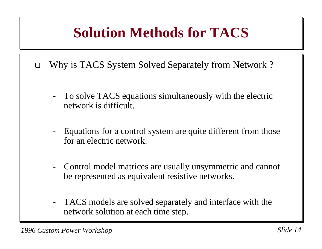# **Solution Methods for TACS**

- $\Box$  Why is TACS System Solved Separately from Network ?
	- - To solve TACS equations simultaneously with the electric network is difficult.
	- Equations for a control system are quite different from those for an electric network.
	- - Control model matrices are usually unsymmetric and cannot be represented as equivalent resistive networks.
	- - TACS models are solved separately and interface with the network solution at each time step.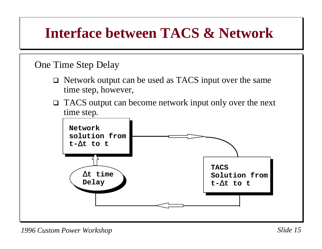### **Interface between TACS & Network**

#### One Time Step Delay

- □ Network output can be used as TACS input over the same time step, however,
- □ TACS output can become network input only over the next time step.

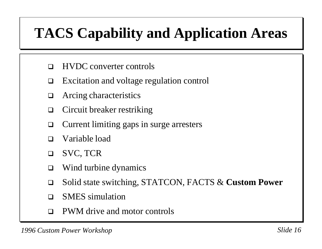# **TACS Capability and Application Areas**

- $\Box$ HVDC converter controls
- $\Box$ Excitation and voltage regulation control
- $\Box$ Arcing characteristics
- $\sqcup$ Circuit breaker restriking
- $\Box$ Current limiting gaps in surge arresters
- $\Box$ Variable load
- $\Box$ SVC, TCR
- $\Box$ Wind turbine dynamics
- $\Box$ Solid state switching, STATCON, FACTS & **Custom Power**
- $\Box$ SMES simulation
- $\Box$ PWM drive and motor controls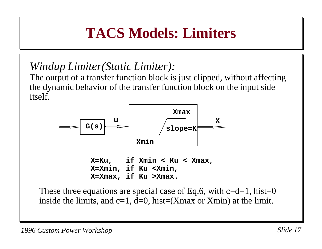# **TACS Models: Limiters**

*Windup Limiter(Static Limiter):*

The output of a transfer function block is just clipped, without affecting the dynamic behavior of the transfer function block on the input side itself.



**X=Ku, if Xmin < Ku < Xmax, X=Xmin, if Ku <Xmin, X=Xmax, if Ku >Xmax.**

These three equations are special case of Eq.6, with  $c=d=1$ , hist=0 inside the limits, and  $c=1$ ,  $d=0$ , hist=(Xmax or Xmin) at the limit.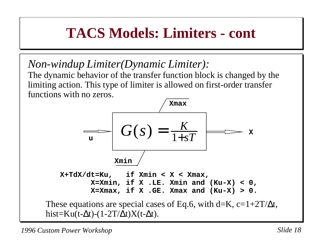## **TACS Models: Limiters - cont**

*Non-windup Limiter(Dynamic Limiter):*

The dynamic behavior of the transfer function block is changed by the limiting action. This type of limiter is allowed on first-order transfer functions with no zeros.

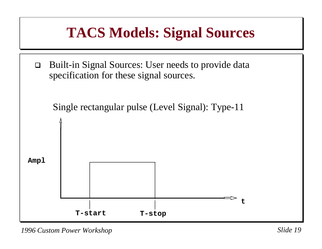

*1996 Custom Power Workshop Slide 19*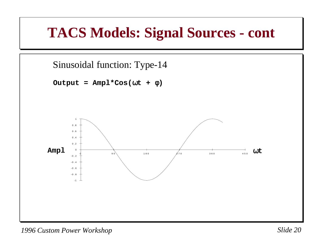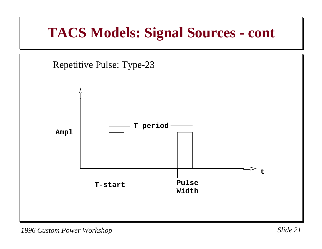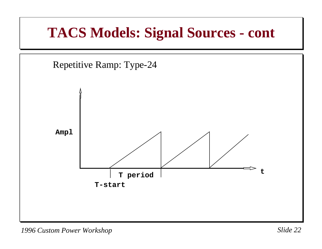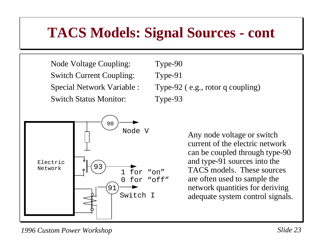Node Voltage Coupling: Type-90 Switch Current Coupling: Type-91 Switch Status Monitor: Type-93



Special Network Variable : Type-92 (e.g., rotor q coupling)

 Any node voltage or switch current of the electric networkcan be coupled through type-90 and type-91 sources into the TACS models. These sourcesare often used to sample the network quantities for deriving adequate system control signals.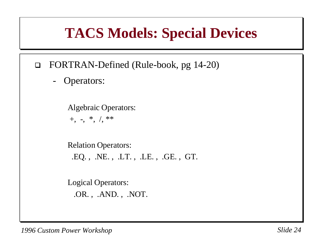### **TACS Models: Special Devices**

- $\Box$  FORTRAN-Defined (Rule-book, pg 14-20)
	- -Operators:

Algebraic Operators:  $+, -, *$ ,  $\frac{1}{2}$  \*\*

Relation Operators: .EQ. , .NE. , .LT. , .LE. , .GE. , GT.

Logical Operators: .OR. , .AND. , .NOT.

*1996 Custom Power Workshop Slide 24*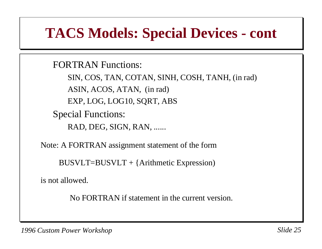### **TACS Models: Special Devices - cont**

FORTRAN Functions:

SIN, COS, TAN, COTAN, SINH, COSH, TANH, (in rad) ASIN, ACOS, ATAN, (in rad) EXP, LOG, LOG10, SQRT, ABS Special Functions:

RAD, DEG, SIGN, RAN, ......

Note: A FORTRAN assignment statement of the form

BUSVLT=BUSVLT + {Arithmetic Expression)

is not allowed.

No FORTRAN if statement in the current version.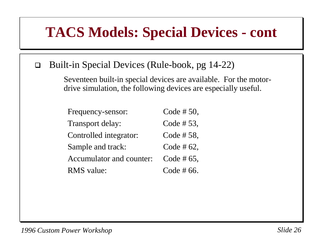#### **TACS Models: Special Devices - cont**

#### $\Box$ Built-in Special Devices (Rule-book, pg 14-22)

Seventeen built-in special devices are available. For the motordrive simulation, the following devices are especially useful.

| Frequency-sensor:        | Code #50,     |
|--------------------------|---------------|
| <b>Transport delay:</b>  | Code #53,     |
| Controlled integrator:   | Code #58,     |
| Sample and track:        | Code # $62$ , |
| Accumulator and counter: | Code # $65$ , |
| <b>RMS</b> value:        | Code $#66$ .  |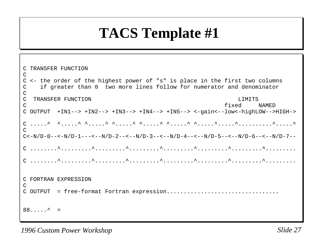# **TACS Template #1**

```
C TRANSFER FUNCTION\mathcal{C}C <- the order of the highest power of "s" is place in the first two columns
C if greater than 0 two more lines follow for numerator and denominator 
\mathcal{C}C TRANSFER FUNCTION LIMITS C fixed NAMEDC OUTPUT +IN1--> +IN2--> +IN3--> +IN4--> +IN5--> <-gain<--low<-highLOW-->HIGH->
C .....^ ^.....^ ^.....^ ^.....^ ^.....^ ^.....^ ^.....^.....^..........^.....^
\capC<-N/D-0---<-N/D-1---<-N/D-2---<-N/D-3---<-N/D-4---<-N/D-5---<-N/D-6---<-N/D-7--C ........^.........^.........^.........^.........^.........^.........^.........C ........^.........^.........^.........^.........^.........^.........^.........C FORTRAN EXPRESSION\mathcal{C}C OUTPUT = free-format Fortran expression.................................
88......^{\sim} =
```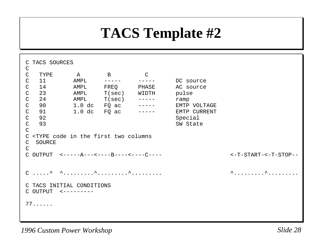## **TACS Template #2**

| C TACS SOURCES<br>$\mathsf{C}$                                                                                                                       |                          |                                                                                    |                                 |                                      |  |  |  |
|------------------------------------------------------------------------------------------------------------------------------------------------------|--------------------------|------------------------------------------------------------------------------------|---------------------------------|--------------------------------------|--|--|--|
| C<br>$\mathsf{C}$<br>11<br>$\mathsf{C}$<br>14                                                                                                        | TYPE A B<br>AMPL<br>AMPL | $- - - - - -$<br>FREQ                                                              | $\overline{C}$<br>$- - - - - -$ | DC source<br>PHASE AC source         |  |  |  |
| $\mathsf{C}$<br>23<br>$\mathsf C$<br>24<br>$\mathsf{C}$<br>90<br>$\mathsf{C}$<br>91                                                                  | AMPL                     | $\text{AMPL}$ $\text{T}(\text{sec})$ -----<br>$1.0$ dc $FQ$ ac<br>$1.0$ dc $FQ$ ac | T(sec) WIDTH pulse              | ramp<br>EMTP VOLTAGE<br>EMTP CURRENT |  |  |  |
| $\mathsf{C}$<br>92<br>93<br>$\mathsf{C}$                                                                                                             |                          |                                                                                    |                                 | Special<br>SW State                  |  |  |  |
| $\mathsf{C}$<br><type code="" columns<br="" first="" in="" the="" two=""><math>\mathsf{C}</math><br/>SOURCE<br/>C<br/><math>\mathsf{C}</math></type> |                          |                                                                                    |                                 |                                      |  |  |  |
| C OUTPUT $<----A-----B---------C---$<br>$<-T-START-<-T-STOP-<$                                                                                       |                          |                                                                                    |                                 |                                      |  |  |  |
| $\wedge$ $\wedge$                                                                                                                                    |                          |                                                                                    |                                 |                                      |  |  |  |
| C TACS INITIAL CONDITIONS<br>$C$ OUTPUT $\leq$ ---------                                                                                             |                          |                                                                                    |                                 |                                      |  |  |  |
| 77                                                                                                                                                   |                          |                                                                                    |                                 |                                      |  |  |  |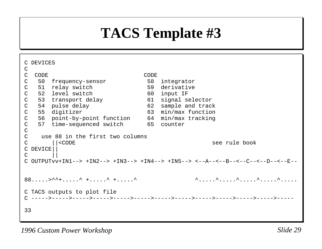# **TACS Template #3**

| C DEVICES<br>C                                                                     |          |                                                |             |                     |  |
|------------------------------------------------------------------------------------|----------|------------------------------------------------|-------------|---------------------|--|
| $\mathsf{C}$                                                                       | CODE     |                                                | <b>CODE</b> |                     |  |
| $\mathsf{C}$                                                                       |          | 50 frequency-sensor                            |             | 58 integrator       |  |
| $\mathsf{C}$                                                                       |          | 51 relay switch                                |             | 59 derivative       |  |
| $\mathsf{C}$                                                                       |          | 52 level switch                                |             | 60 input IF         |  |
| $\mathsf{C}$                                                                       |          | 53 transport delay                             |             | 61 signal selector  |  |
| $\mathsf{C}$                                                                       |          | 54 pulse delay                                 | 62          | sample and track    |  |
| $\mathsf{C}$                                                                       |          | 55 digitizer                                   |             | 63 min/max function |  |
| $\mathsf{C}$                                                                       |          | 56 point-by-point function 64 min/max tracking |             |                     |  |
| $\mathsf{C}$                                                                       |          | 57 time-sequenced switch 65 counter            |             |                     |  |
| $\mathsf{C}$                                                                       |          |                                                |             |                     |  |
| $\mathsf{C}^-$<br>use 88 in the first two columns                                  |          |                                                |             |                     |  |
| $\mathsf{C}$                                                                       |          | $ $ < CODE                                     |             | see rule book       |  |
|                                                                                    | C DEVICE |                                                |             |                     |  |
| $\mathcal{C}$                                                                      |          |                                                |             |                     |  |
| $C$ OUTPUTvv+IN1--> +IN2--> +IN3--> +IN4--> +IN5--> <--A--<--B--<--C--<--D--<--E-- |          |                                                |             |                     |  |
|                                                                                    |          |                                                |             |                     |  |
|                                                                                    |          | $88$ > ^^+ ^ + ^ + ^                           |             |                     |  |
| C TACS outputs to plot file                                                        |          |                                                |             |                     |  |
|                                                                                    |          |                                                |             |                     |  |
| 33                                                                                 |          |                                                |             |                     |  |
|                                                                                    |          |                                                |             |                     |  |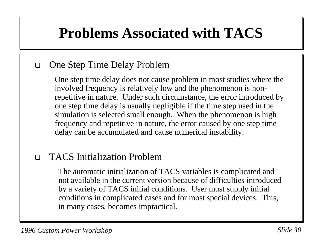# **Problems Associated with TACS**

#### $\Box$ One Step Time Delay Problem

One step time delay does not cause problem in most studies where the involved frequency is relatively low and the phenomenon is nonrepetitive in nature. Under such circumstance, the error introduced by one step time delay is usually negligible if the time step used in the simulation is selected small enough. When the phenomenon is high frequency and repetitive in nature, the error caused by one step time delay can be accumulated and cause numerical instability.

#### $\Box$ TACS Initialization Problem

The automatic initialization of TACS variables is complicated and not available in the current version because of difficulties introduced by a variety of TACS initial conditions. User must supply initial conditions in complicated cases and for most special devices. This, in many cases, becomes impractical.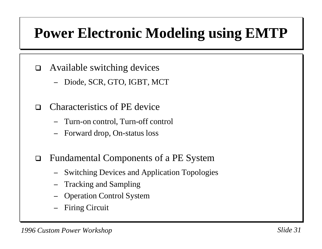# **Power Electronic Modeling using EMTP**

- $\Box$  Available switching devices
	- −Diode, SCR, GTO, IGBT, MCT
- $\Box$  Characteristics of PE device
	- −Turn-on control, Turn-off control
	- −Forward drop, On-status loss
- $\Box$  Fundamental Components of a PE System
	- −Switching Devices and Application Topologies
	- Tracking and Sampling
	- −Operation Control System
	- −Firing Circuit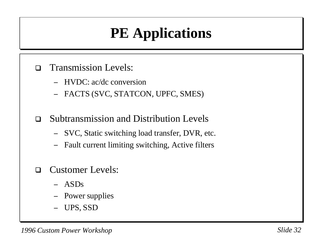# **PE Applications**

- $\Box$  Transmission Levels:
	- − HVDC: ac/dc conversion
	- −FACTS (SVC, STATCON, UPFC, SMES)
- $\Box$  Subtransmission and Distribution Levels
	- −SVC, Static switching load transfer, DVR, etc.
	- −Fault current limiting switching, Active filters
- $\Box$  Customer Levels:
	- − ASDs
	- −Power supplies
	- −UPS, SSD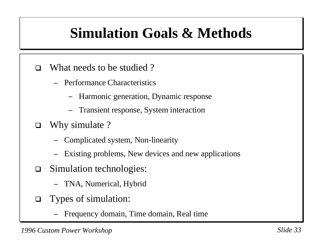# **Simulation Goals & Methods**

- $\Box$  What needs to be studied ?
	- − Performance Characteristics
		- −Harmonic generation, Dynamic response
		- −Transient response, System interaction
- $\Box$  Why simulate ?
	- −Complicated system, Non-linearity
	- −Existing problems, New devices and new applications
- $\Box$  Simulation technologies:
	- −TNA, Numerical, Hybrid
- $\Box$  Types of simulation:
	- −Frequency domain, Time domain, Real time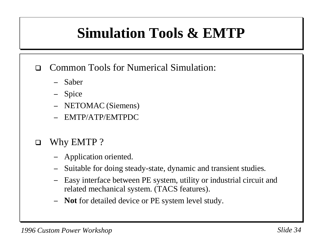# **Simulation Tools & EMTP**

- $\Box$  Common Tools for Numerical Simulation:
	- −Saber
	- Spice
	- −NETOMAC (Siemens)
	- −EMTP/ATP/EMTPDC
- $\Box$  Why EMTP ?
	- −Application oriented.
	- −Suitable for doing steady-state, dynamic and transient studies.
	- − Easy interface between PE system, utility or industrial circuit and related mechanical system. (TACS features).
	- −**Not** for detailed device or PE system level study.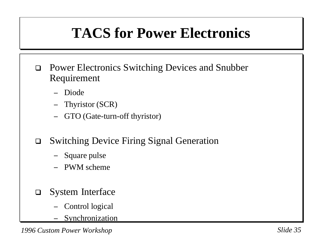# **TACS for Power Electronics**

- $\Box$  Power Electronics Switching Devices and Snubber Requirement
	- Diode
	- − Thyristor (SCR)
	- GTO (Gate-turn-off thyristor)
- $\Box$  Switching Device Firing Signal Generation
	- −Square pulse
	- − PWM scheme
- $\Box$  System Interface
	- Control logical
	- −Synchronization

*1996 Custom Power Workshop Slide 35*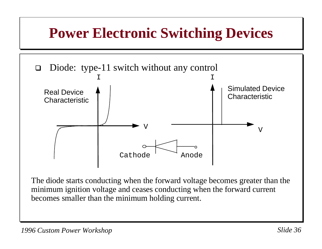## **Power Electronic Switching Devices**



The diode starts conducting when the forward voltage becomes greater than the minimum ignition voltage and ceases conducting when the forward current becomes smaller than the minimum holding current.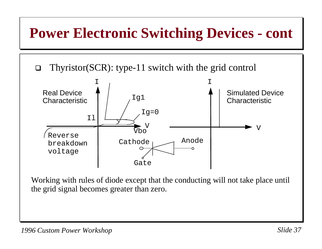### **Power Electronic Switching Devices - cont**

 $\Box$ Thyristor(SCR): type-11 switch with the grid control



Working with rules of diode except that the conducting will not take place until the grid signal becomes greater than zero.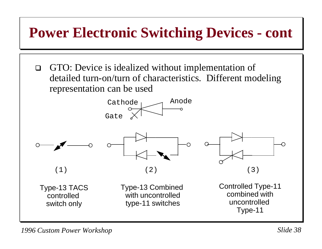$\Box$  GTO: Device is idealized without implementation of detailed turn-on/turn of characteristics. Different modeling representation can be used





Type-13 TACS controlled switch only

Type-13 Combined with uncontrolledtype-11 switches



Controlled Type-11 combined withuncontrolled Type-11

*1996 Custom Power Workshop Slide 38*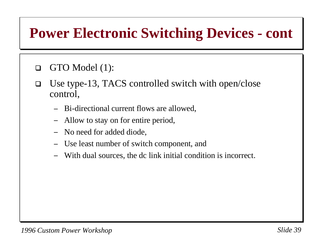#### $\Box$ GTO Model (1):

- $\Box$  Use type-13, TACS controlled switch with open/close control,
	- −Bi-directional current flows are allowed,
	- −Allow to stay on for entire period,
	- −No need for added diode,
	- −Use least number of switch component, and
	- −With dual sources, the dc link initial condition is incorrect.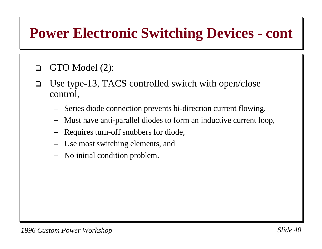#### $\Box$ GTO Model (2):

- $\Box$  Use type-13, TACS controlled switch with open/close control,
	- −Series diode connection prevents bi-direction current flowing,
	- −Must have anti-parallel diodes to form an inductive current loop,
	- −Requires turn-off snubbers for diode,
	- −Use most switching elements, and
	- −No initial condition problem.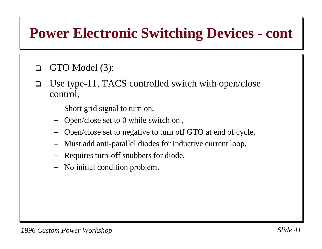#### $\Box$ GTO Model (3):

- $\Box$  Use type-11, TACS controlled switch with open/close control,
	- −Short grid signal to turn on,
	- −Open/close set to 0 while switch on ,
	- −Open/close set to negative to turn off GTO at end of cycle,
	- −Must add anti-parallel diodes for inductive current loop,
	- −Requires turn-off snubbers for diode,
	- −No initial condition problem.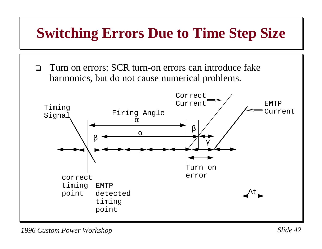## **Switching Errors Due to Time Step Size**

 $\Box$  Turn on errors: SCR turn-on errors can introduce fake harmonics, but do not cause numerical problems.

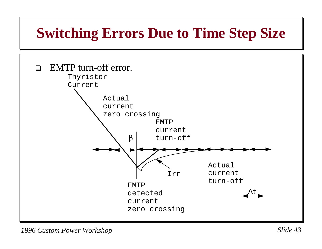### **Switching Errors Due to Time Step Size**

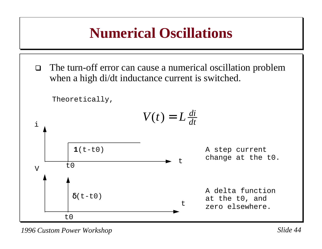### **Numerical Oscillations**

 $\Box$  The turn-off error can cause a numerical oscillation problem when a high di/dt inductance current is switched.

Theoretically,

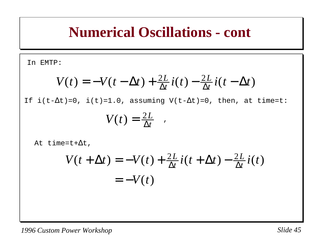In EMTP:

$$
V(t) = -V(t - \Delta t) + \frac{2L}{\Delta t}i(t) - \frac{2L}{\Delta t}i(t - \Delta t)
$$

If  $i(t-\Delta t)=0$ ,  $i(t)=1.0$ , assuming V(t- $\Delta t$ )=0, then, at time=t:

$$
V(t)=\frac{2L}{\Delta t} \quad .
$$

At time=t+ $\Delta t$ ,

$$
V(t + \Delta t) = -V(t) + \frac{2L}{\Delta t}i(t + \Delta t) - \frac{2L}{\Delta t}i(t)
$$

$$
= -V(t)
$$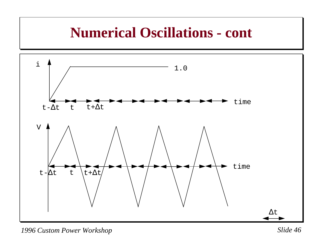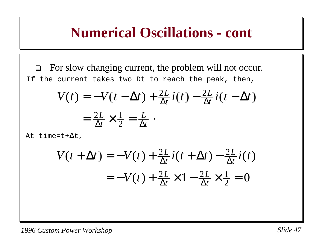$\Box$  For slow changing current, the problem will not occur. If the current takes two Dt to reach the peak, then,

$$
V(t) = -V(t - \Delta t) + \frac{2L}{\Delta t} i(t) - \frac{2L}{\Delta t} i(t - \Delta t)
$$

$$
= \frac{2L}{\Delta t} \times \frac{1}{2} = \frac{L}{\Delta t}.
$$

At time=t+ $\Delta t$ ,

$$
V(t + \Delta t) = -V(t) + \frac{2L}{\Delta t}i(t + \Delta t) - \frac{2L}{\Delta t}i(t)
$$

$$
= -V(t) + \frac{2L}{\Delta t} \times 1 - \frac{2L}{\Delta t} \times \frac{1}{2} = 0
$$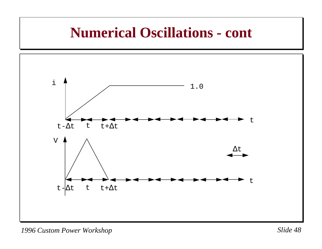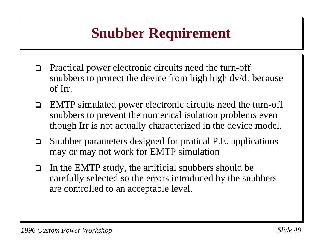# **Snubber Requirement**

- $\Box$  Practical power electronic circuits need the turn-off snubbers to protect the device from high high dv/dt because of Irr.
- $\Box$  EMTP simulated power electronic circuits need the turn-off snubbers to prevent the numerical isolation problems even though Irr is not actually characterized in the device model.
- $\Box$  Snubber parameters designed for pratical P.E. applications may or may not work for EMTP simulation
- $\Box$  In the EMTP study, the artificial snubbers should be carefully selected so the errors introduced by the snubbers are controlled to an acceptable level.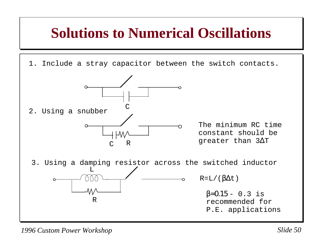#### **Solutions to Numerical Oscillations**

1. Include a stray capacitor between the switch contacts.



The minimum RC time constant should begreater than 3∆<sup>T</sup>

3. Using a damping resistor across the switched inductor  $R=L/(β\Delta t)$ RL $β=0.15 - 0.3$  is recommended for P.E. applications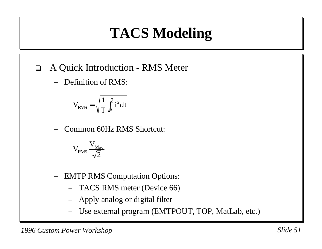# **TACS Modeling**

- $\Box$  A Quick Introduction - RMS Meter
	- −Definition of RMS:

$$
V_{\rm RMS}=\sqrt{\frac{1}{T}\int_0^T i^2 dt}
$$

−Common 60Hz RMS Shortcut:

$$
V_{RMS} \frac{V_{\text{Max}}}{\sqrt{2}}
$$

- − EMTP RMS Computation Options:
	- −TACS RMS meter (Device 66)
	- −Apply analog or digital filter
	- −Use external program (EMTPOUT, TOP, MatLab, etc.)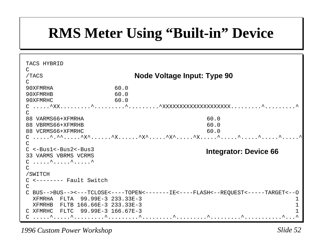# **RMS Meter Using "Built-in" Device**

| TACS HYBRID                                                                     |      |                                                                                 |  |  |
|---------------------------------------------------------------------------------|------|---------------------------------------------------------------------------------|--|--|
| $\mathsf{C}$                                                                    |      |                                                                                 |  |  |
| /TACS                                                                           |      | Node Voltage Input: Type 90                                                     |  |  |
| $\subset$                                                                       |      |                                                                                 |  |  |
| 90XFMRHA                                                                        | 60.0 |                                                                                 |  |  |
| 90XFMRHB                                                                        | 60.0 |                                                                                 |  |  |
| 90XFMRHC                                                                        | 60.0 |                                                                                 |  |  |
|                                                                                 |      |                                                                                 |  |  |
|                                                                                 |      |                                                                                 |  |  |
| 88 VARMS66+XFMRHA                                                               |      | 60.0                                                                            |  |  |
| 88 VBRMS66+XFMRHB                                                               |      | 60.0                                                                            |  |  |
| 88 VCRMS66+XFMRHC                                                               |      | 60.0                                                                            |  |  |
|                                                                                 |      |                                                                                 |  |  |
|                                                                                 |      |                                                                                 |  |  |
| $C < -Bus1 < -Bus2 < -Bus3$                                                     |      | <b>Integrator: Device 66</b>                                                    |  |  |
| 33 VARMS VBRMS VCRMS<br>$C \dots \wedge \dots \wedge \dots \wedge \dots \wedge$ |      |                                                                                 |  |  |
| C                                                                               |      |                                                                                 |  |  |
| /SWITCH                                                                         |      |                                                                                 |  |  |
| C <-------- Fault Switch                                                        |      |                                                                                 |  |  |
|                                                                                 |      |                                                                                 |  |  |
|                                                                                 |      | C BUS-->BUS--><---TCLOSE<----TOPEN<-------IE<----FLASH<--REQUEST<----TARGET<--0 |  |  |
| XFMRHA FLTA 99.99E-3 233.33E-3                                                  |      |                                                                                 |  |  |
| XFMRHB FLTB 166.66E-3 233.33E-3                                                 |      |                                                                                 |  |  |
| C XFMRHC FLTC 99.99E-3 166.67E-3                                                |      |                                                                                 |  |  |
| $C$ ^^^                                                                         |      |                                                                                 |  |  |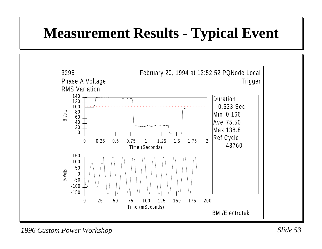# **Measurement Results - Typical Event**

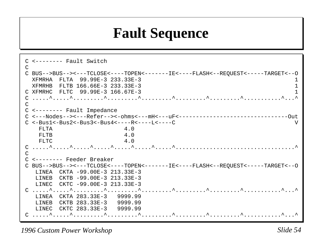## **Fault Sequence**

```
C <-------- Fault SwitchCC BUS-->BUS--><---TCLOSE<----TOPEN<-------IE<----FLASH<--REQUEST<-----TARGET<--O
  XFMRHA FLTA 99.99E-3 233.33E-3 1 XFMRHB FLTB 166.66E-3 233.33E-3 1 C XFMRHC FLTC 99.99E-3 166.67E-3 1C .....^.....^.........^.........^.........^.........^.........^...........^...^\overline{C}C <-------- Fault Impedance
C <---Nodes--><---Refer--><-ohms<---mH<---uF<--------------------------------OutC < -Bus1 < -Bus2 < -Bus3 < -Bus4 < - - - -R < - - - L < - - - C FLTA 4.0 FLTB 4.0
   F1.T.C. 4.0
C .....^.....^.....^.....^.....^.....^.....^...................................^\overline{C}C <-------- Feeder BreakerC BUS-->BUS--><---TCLOSE<----TOPEN<-------IE<----FLASH<--REQUEST<-----TARGET<--O
   LINEA CKTA -99.00E-3 213.33E-3  LINEB CKTB -99.00E-3 213.33E-3  LINEC CKTC -99.00E-3 213.33E-3 
C .....^.....^.........^.........^.........^.........^.........^...........^...^ LINEA CKTA 283.33E-3 9999.99  LINEB CKTB 283.33E-3 9999.99  LINEC CKTC 283.33E-3 9999.99 C .....^.....^.........^.........^.........^.........^.........^...........^...^
```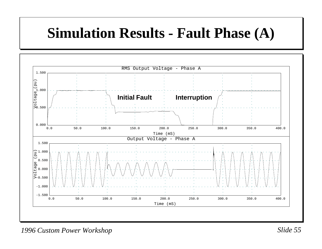## **Simulation Results - Fault Phase (A)**

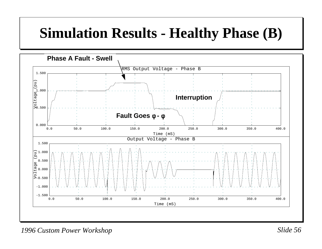# **Simulation Results - Healthy Phase (B)**

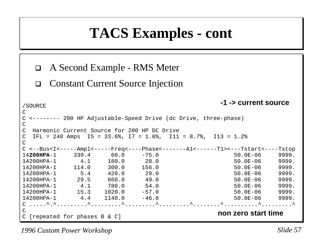#### **TACS Examples - cont**

```
\Box A Second Example - RMS Meter
  \Box Constant Current Source Injection
/SOURCE
\GammaC <-------- 200 HP Adjustable-Speed Drive (dc Drive, three-phase)
CC Harmonic Current Source for 200 HP DC DriveC IFL = 240 Amps I5 = 33.6%, I7 = 1.6%, I11 = 8.7%, I13 = 1.2%
\overline{C}C <--Bus<I<-----Ampl<-----Freq<----Phase<-------A1<------T1><---Tstart<----Tstop
14200HPA-1 339.4 60.0 -75.0 50.0E-06 9999.14200HPA-1 4.1 180.0 28.0 50.0E-06 9999.14200HPA-1 114.0 300.0 156.0 50.0E-06 9999.14200HPA-1 5.4 420.0 29.0 50.0E-06 9999.14200HPA-1 29.5 660.0 49.0 50.0E-06 9999.14200HPA-1 4.1 780.0 54.0 50.0E-06 9999.14200HPA-1 15.3 1020.0 -57.0 50.0E-06 9999.14200HPA-1 4.4 1140.0 -46.0C .....^.^.........^.........^.........^.........^........^..........^.........^\overline{C}C [repeated for phases B & C] non zero start time
                                          -1 -> current source
```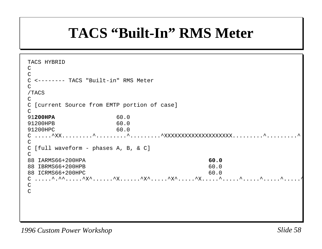### **TACS "Built-In" RMS Meter**

```
TACS HYBRID\Gamma\GammaC <-------- TACS "Built-in" RMS Meter\mathcal{C}/TACS
\overline{C}C [current Source from EMTP portion of case]
\cap91200HPA 60.091200HPB 60.091200HPC 60.0\texttt{C} \hspace{0.2cm} \ldots \ldots \hspace{0.2cm} \cdot \hspace{0.2cm} \text{XXX} \hspace{0.2cm} \ldots \ldots \hspace{0.2cm} \cdot \hspace{0.2cm} \ldots \ldots \hspace{0.2cm} \cdot \hspace{0.2cm} \ldots \ldots \hspace{0.2cm} \cdot \hspace{0.2cm} \ldots \ldots \hspace{0.2cm} \cdot \hspace{0.2cm} \ldots \ldots \hspace{0.2cm} \cdot \hspace{0.2cm} \ldots \ldots \cdot \cdot \cdot \cdot \cdot\capC [full waveform - phases A, B, & C]
\mathcal{C}88 IARMS66+200HPA 60.088 IBRMS66+200HPB 60.0
88 ICRMS66+200HPC 60.0
C .....^.^^.....^X^......^X......^X^.....^X^.....^X.....^.....^.....^.....^.....^C\overline{C}
```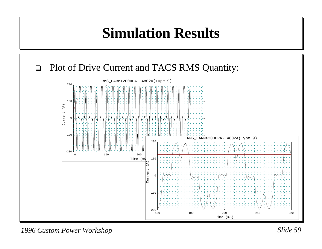#### **Simulation Results**



*1996 Custom Power Workshop Slide 59*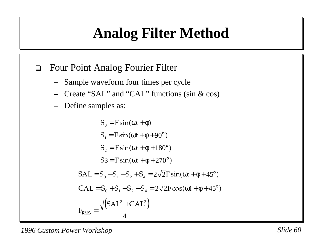# **Analog Filter Method**

- $\Box$  Four Point Analog Fourier Filter
	- −Sample waveform four times per cycle
	- −Create "SAL" and "CAL" functions (sin & cos)
	- −Define samples as:

$$
S_0 = F \sin(\omega t + \phi)
$$
  
\n
$$
S_1 = F \sin(\omega t + \phi + 90^\circ)
$$
  
\n
$$
S_2 = F \sin(\omega t + \phi + 180^\circ)
$$
  
\n
$$
S_3 = F \sin(\omega t + \phi + 270^\circ)
$$
  
\n
$$
SAL = S_0 - S_1 - S_2 + S_4 = 2\sqrt{2}F \sin(\omega t + \phi + 45^\circ)
$$
  
\n
$$
CAL = S_0 + S_1 - S_2 - S_4 = 2\sqrt{2}F \cos(\omega t + \phi + 45^\circ)
$$
  
\n
$$
F_{RMS} = \frac{\sqrt{(SAL^2 + CAL^2)}}{4}
$$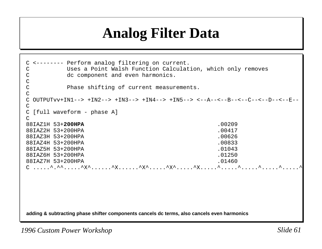# **Analog Filter Data**

**adding & subtracting phase shifter components cancels dc terms, also cancels even harmonics** C <-------- Perform analog filtering on current. C Uses a Point Walsh Function Calculation, which only removes C dc component and even harmonics. CC Phase shifting of current measurements.  $\overline{C}$ C OUTPUTvv+IN1--> +IN2--> +IN3--> +IN4--> +IN5--> <--A--<--B--<--C--<--D--<--E-- $\mathcal{C}$ C [full waveform - phase A]  $\Gamma$ 88IAZ1H 53+**200HPA** .0020988IAZ2H 53+200HPA .0041788IAZ3H 53+200HPA .0062688IAZ4H 53+200HPA .0083388IAZ5H 53+200HPA .01043 88IAZ6H 53+200HPA .01250 88IAZ7H 53+200HPA .01460  $C$  .....^.^^^.....^ $X^{\wedge}$ ......^ $X^{\wedge}$ .....^X.....^X^.....^X.....^X.....^.....^.....^.....^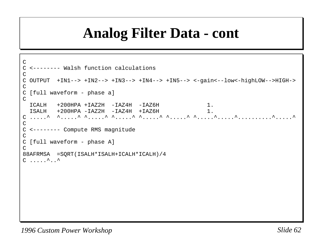### **Analog Filter Data - cont**

```
\mathcal{C}C <-------- Walsh function calculationsCC OUTPUT +IN1--> +IN2--> +IN3--> +IN4--> +IN5--> <-gain<--low<-highLOW-->HIGH->
CC [full waveform - phase a]
\overline{C} ICALH +200HPA +IAZ2H -IAZ4H -IAZ6H 1. ISALH +200HPA -IAZ2H -IAZ4H +IAZ6H 1.
C .....^ ^.....^ ^.....^ ^.....^ ^.....^ ^.....^ ^.....^.....^..........^.....^\mathcal{C}C <-------- Compute RMS magnitude
\overline{C}C [full waveform - phase A]
\bigcap88AFRMSA =SQRT(ISALH*ISALH+ICALH*ICALH)/4
C \ldots \ldots^..^
```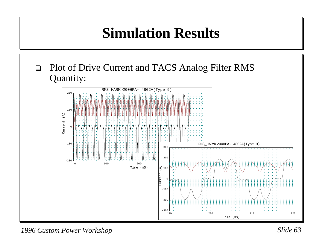# **Simulation Results**

 $\Box$  Plot of Drive Current and TACS Analog Filter RMS Quantity:



*1996 Custom Power Workshop Slide 63*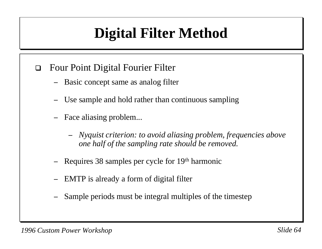# **Digital Filter Method**

- $\Box$  Four Point Digital Fourier Filter
	- −Basic concept same as analog filter
	- Use sample and hold rather than continuous sampling
	- − Face aliasing problem...
		- − *Nyquist criterion: to avoid aliasing problem, frequencies above one half of the sampling rate should be removed.*
	- −Requires 38 samples per cycle for 19th harmonic
	- −EMTP is already a form of digital filter
	- −Sample periods must be integral multiples of the timestep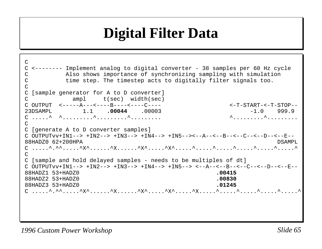### **Digital Filter Data**

 $\mathsf{C}$ C <-------- Implement analog to digital converter - 38 samples per 60 Hz cycle C Also shows importance of synchronizing sampling with simulation C time step. The timestep acts to digitally filter signals too.  $\overline{C}$ C [sample generator for A to D converter] C ampl t(sec) width(sec) C OUTPUT <-----A---<----B----<----C---- <-T-START-<-T-STOP--23DSAMPL 1.1 **.00044** .00003 -1.0 999.9C .....^ ^.........^.........^......... ^.........^......... $\cap$ C [generate A to D converter samples] C OUTPUTvv+IN1--> +IN2--> +IN3--> +IN4--> +IN5--><--A--<--B--<--C--<--D--<--E--88HADZ0 62+200HPA DSAMPLC .....^.^^.....^X^......^X......^X^.....^X^.....^.....^.....^.....^.....^.....^ $\overline{C}$ C [sample and hold delayed samples - needs to be multiples of dt] C OUTPUTvv+IN1--> +IN2--> +IN3--> +IN4--> +IN5--> <--A--<--B--<--C--<--D--<--E--88HADZ1 53+HADZ0 **.00415**88HADZ2 53+HADZ0 **.00830**88HADZ3 53+HADZ0 **.01245**C .....^.^^.....^X^......^X......^X^.....^X^.....^X.....^.....^.....^.....^.....^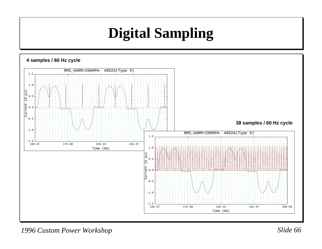# **Digital Sampling**



*1996 Custom Power Workshop Slide 66*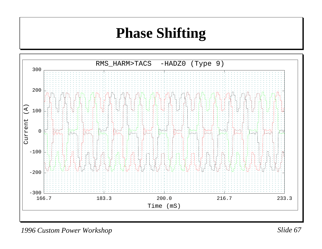#### **Phase Shifting**



*1996 Custom Power Workshop Slide 67*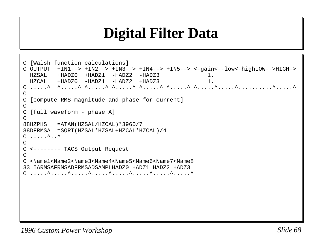# **Digital Filter Data**

```
C [Walsh function calculations]
C OUTPUT +IN1--> +IN2--> +IN3--> +IN4--> +IN5--> <-gain<--low<-highLOW-->HIGH->
  HZSAL +HADZ0 +HADZ1 -HADZ2 -HADZ3 1. HZCAL +HADZ0 -HADZ1 -HADZ2 +HADZ3 1.C .....^ ^.....^ ^.....^ ^.....^ ^.....^ ^.....^ ^.....^.....^..........^.....^
CC [compute RMS magnitude and phase for current]
\GammaC [full waveform - phase A]
\mathcal{C}88HZPHS =ATAN(HZSAL/HZCAL)*3960/7
88DFRMSA =SQRT(HZSAL*HZSAL+HZCAL*HZCAL)/4
C \ldots \ldots\overline{C}C <-------- TACS Output Request
\mathcal{C}C <Name1<Name2<Name3<Name4<Name5<Name6<Name7<Name833 IARMSAFRMSADFRMSADSAMPLHADZ0 HADZ1 HADZ2 HADZ3C .....^.....^.....^.....^.....^.....^.....^.....^
```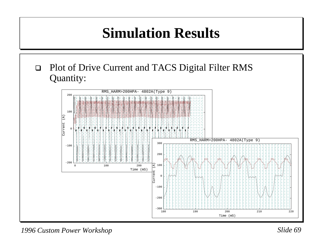# **Simulation Results**

 $\Box$  Plot of Drive Current and TACS Digital Filter RMS Quantity:

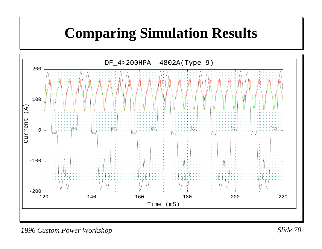## **Comparing Simulation Results**

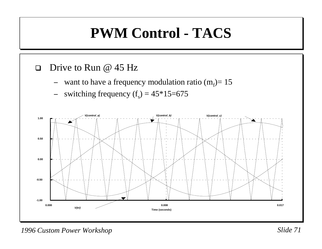# **PWM Control - TACS**

#### $\Box$ Drive to Run @ 45 Hz

- −want to have a frequency modulation ratio  $(m_f)$ = 15
- −switching frequency  $(f_s) = 45*15=675$

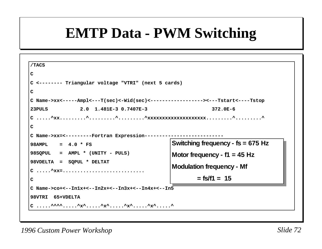#### **EMTP Data - PWM Switching**

| /TACS                                                                                        |                                     |  |  |
|----------------------------------------------------------------------------------------------|-------------------------------------|--|--|
| $\mathbf C$                                                                                  |                                     |  |  |
| C <-------- Triangular voltage "VTRI" (next 5 cards)                                         |                                     |  |  |
| $\mathsf{C}$                                                                                 |                                     |  |  |
| C Name->xx<-----Ampl<---T(sec)<-Wid(sec)<------------------><---Tstart<----Tstop             |                                     |  |  |
| 2.0 1.481E-3 0.7407E-3<br>23PULS                                                             | $372.0E - 6$                        |  |  |
|                                                                                              |                                     |  |  |
| C                                                                                            |                                     |  |  |
| C Name->xx=<---------Fortran Expression----                                                  |                                     |  |  |
| $98AMPL = 4.0 * FS$                                                                          | Switching frequency - $fs = 675 Hz$ |  |  |
|                                                                                              |                                     |  |  |
| 98SQPUL = AMPL * (UNITY - PULS)                                                              |                                     |  |  |
| 98VDELTA = SQPUL * DELTAT                                                                    | Motor frequency - $f1 = 45$ Hz      |  |  |
| $C \ldots$ $\triangle_{\text{XX}} = \ldots \ldots \ldots \ldots \ldots \ldots \ldots \ldots$ | <b>Modulation frequency - Mf</b>    |  |  |
| $\mathbf C$                                                                                  | $=$ fs/f1 = 15                      |  |  |
| $C$ Name->co+<--In1x+<--In2x+<--In3x+<--In4x+<--In5                                          |                                     |  |  |
| 98VTRI 65+VDELTA                                                                             |                                     |  |  |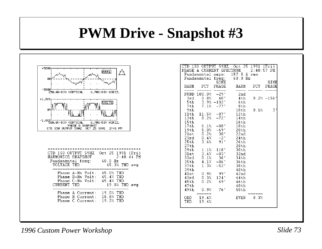#### **PWM Drive - Snapshot #3**



|       |                                 |                  | CTD 150 OUTPUT 59HZ Oct 25 1991 (Fri) |      |              |
|-------|---------------------------------|------------------|---------------------------------------|------|--------------|
|       |                                 |                  | PHASE A CURRENT SPECTRUM 2:40:57 PM   |      |              |
|       |                                 |                  | Fundamental amps: 157.5 A rms         |      |              |
|       |                                 |                  | Fundamental freq: 60.0 Hz             |      |              |
|       |                                 | SINE             |                                       |      | SINE         |
|       |                                 |                  | HARM PCT PHASE HARM PCT               |      | PHASE        |
|       | FUND 100.0% -29°                |                  | 2nd                                   |      |              |
| 3rd - |                                 | $0.8% - 40*$     | 4th                                   |      | $0.2% -156*$ |
| 5th   |                                 | $3.9% -102$      | 6th                                   |      |              |
| 7th   |                                 | $7.1\%$ $-77\%$  | 8th                                   |      |              |
| 9th-  |                                 |                  | $10th$ $0.1%$                         |      | 3*           |
|       | 11th $11.5% -87$                |                  | 12th                                  |      |              |
|       | $13th$ 8.2% $-72$ °             |                  | 14th                                  |      |              |
| 15th  |                                 |                  | 16th                                  |      |              |
|       | $17th$ 6.1% -88°                |                  | 18th                                  |      |              |
|       | $19th$ 5.0% -69°                |                  | 20th                                  |      |              |
|       | $21st$ $0.2%$ $38*$             |                  | 22nd                                  |      |              |
|       | $23rd$ $0.4%$ $-2$ <sup>*</sup> |                  | 24th                                  |      |              |
| 25th  |                                 | $3.6\%$ $91$ *   | 26th                                  |      |              |
| 27th  |                                 |                  | 28th                                  |      |              |
| 29th  |                                 | $1.1\%$ 118°     | 30th                                  |      |              |
| 31st  |                                 | $3.4\% -83^*$    | - 32nd                                |      |              |
| 33rd  |                                 | $0.1\% - 36^*$   | $-34th$                               |      |              |
|       | $35th$ $4.1%$ $-86$ °           |                  | 36th                                  |      |              |
| 37th  | 1.3%                            |                  | $-52^*$ 38th                          |      |              |
| 39th  |                                 |                  | 40th                                  |      |              |
|       | 41st 0.9% 99°                   |                  | 42 <sub>nd</sub>                      |      |              |
| 43rd  |                                 | $0.3\%$ 124 $^*$ | 44th                                  |      |              |
| 45th  |                                 | $0.2% 69*$       | 46th                                  |      |              |
| 47th  |                                 |                  | 48th                                  |      |              |
|       | 49th 0.9% 76°                   |                  | 50th                                  |      |              |
| THD:  | ODD 19.4%<br>19.4%              |                  | EVEN                                  | 0.3% |              |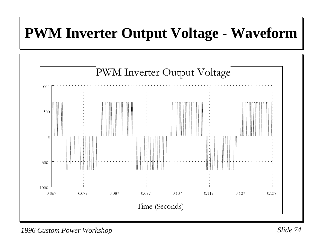### **PWM Inverter Output Voltage - Waveform**

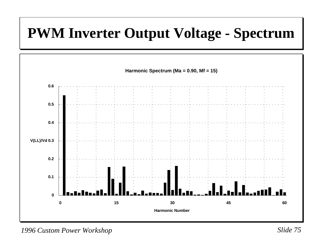#### **PWM Inverter Output Voltage - Spectrum**



*1996 Custom Power Workshop Slide 75*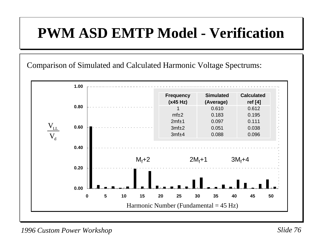## **PWM ASD EMTP Model - Verification**

Comparison of Simulated and Calculated Harmonic Voltage Spectrums:

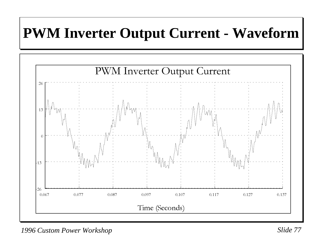## **PWM Inverter Output Current - Waveform**

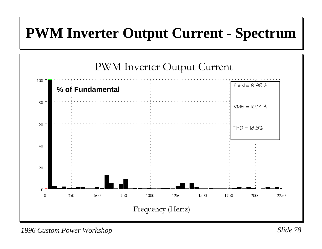#### **PWM Inverter Output Current - Spectrum**

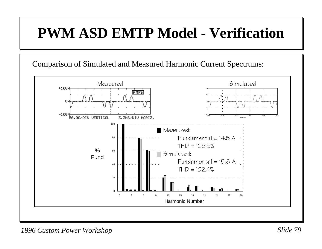## **PWM ASD EMTP Model - Verification**



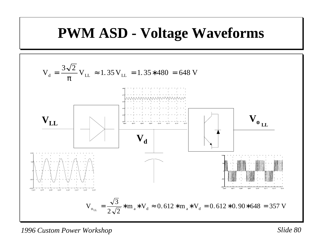#### **PWM ASD - Voltage Waveforms**

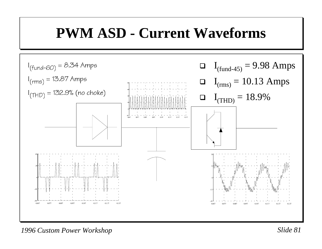#### **PWM ASD - Current Waveforms**



*1996 Custom Power Workshop Slide 81*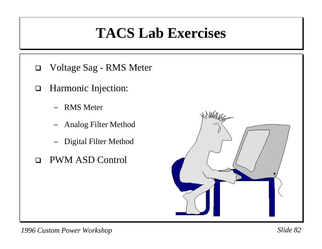## **TACS Lab Exercises**

- $\Box$ Voltage Sag - RMS Meter
- $\Box$  Harmonic Injection:
	- RMS Meter
	- −Analog Filter Method
	- −Digital Filter Method
- $\Box$ PWM ASD Control

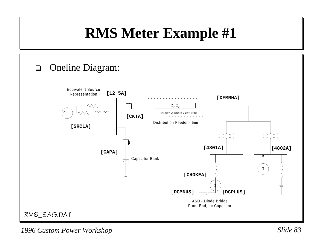## **RMS Meter Example #1**

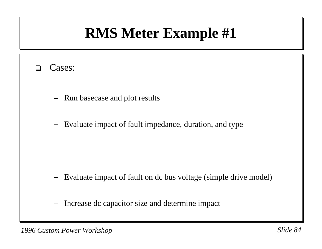# **RMS Meter Example #1**

#### $\Box$ Cases:

- −Run basecase and plot results
- −Evaluate impact of fault impedance, duration, and type

- −Evaluate impact of fault on dc bus voltage (simple drive model)
- −Increase dc capacitor size and determine impact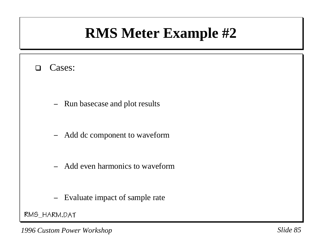## **RMS Meter Example #2**

#### $\Box$ Cases:

- −Run basecase and plot results
- −Add dc component to waveform
- −Add even harmonics to waveform
- −Evaluate impact of sample rate

RMS\_HARM.DAT

*1996 Custom Power Workshop Slide 85*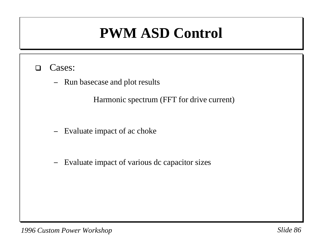# **PWM ASD Control**

- $\Box$  Cases:
	- −Run basecase and plot results

Harmonic spectrum (FFT for drive current)

- −Evaluate impact of ac choke
- −Evaluate impact of various dc capacitor sizes